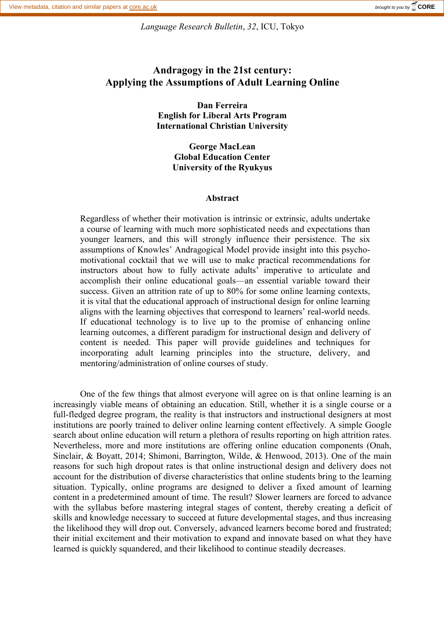*Language Research Bulletin*, *32*, ICU, Tokyo

# **Andragogy in the 21st century: Applying the Assumptions of Adult Learning Online**

**Dan Ferreira English for Liberal Arts Program International Christian University**

> **George MacLean Global Education Center University of the Ryukyus**

#### **Abstract**

Regardless of whether their motivation is intrinsic or extrinsic, adults undertake a course of learning with much more sophisticated needs and expectations than younger learners, and this will strongly influence their persistence. The six assumptions of Knowles' Andragogical Model provide insight into this psychomotivational cocktail that we will use to make practical recommendations for instructors about how to fully activate adults' imperative to articulate and accomplish their online educational goals—an essential variable toward their success. Given an attrition rate of up to 80% for some online learning contexts, it is vital that the educational approach of instructional design for online learning aligns with the learning objectives that correspond to learners' real-world needs. If educational technology is to live up to the promise of enhancing online learning outcomes, a different paradigm for instructional design and delivery of content is needed. This paper will provide guidelines and techniques for incorporating adult learning principles into the structure, delivery, and mentoring/administration of online courses of study.

One of the few things that almost everyone will agree on is that online learning is an increasingly viable means of obtaining an education. Still, whether it is a single course or a full-fledged degree program, the reality is that instructors and instructional designers at most institutions are poorly trained to deliver online learning content effectively. A simple Google search about online education will return a plethora of results reporting on high attrition rates. Nevertheless, more and more institutions are offering online education components (Onah, Sinclair, & Boyatt, 2014; Shimoni, Barrington, Wilde, & Henwood, 2013). One of the main reasons for such high dropout rates is that online instructional design and delivery does not account for the distribution of diverse characteristics that online students bring to the learning situation. Typically, online programs are designed to deliver a fixed amount of learning content in a predetermined amount of time. The result? Slower learners are forced to advance with the syllabus before mastering integral stages of content, thereby creating a deficit of skills and knowledge necessary to succeed at future developmental stages, and thus increasing the likelihood they will drop out. Conversely, advanced learners become bored and frustrated; their initial excitement and their motivation to expand and innovate based on what they have learned is quickly squandered, and their likelihood to continue steadily decreases.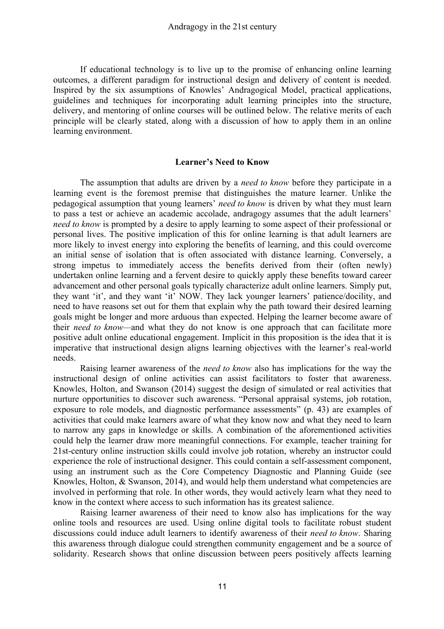If educational technology is to live up to the promise of enhancing online learning outcomes, a different paradigm for instructional design and delivery of content is needed. Inspired by the six assumptions of Knowles' Andragogical Model, practical applications, guidelines and techniques for incorporating adult learning principles into the structure, delivery, and mentoring of online courses will be outlined below. The relative merits of each principle will be clearly stated, along with a discussion of how to apply them in an online learning environment.

### **Learner's Need to Know**

 The assumption that adults are driven by a *need to know* before they participate in a learning event is the foremost premise that distinguishes the mature learner. Unlike the pedagogical assumption that young learners' *need to know* is driven by what they must learn to pass a test or achieve an academic accolade, andragogy assumes that the adult learners' *need to know* is prompted by a desire to apply learning to some aspect of their professional or personal lives. The positive implication of this for online learning is that adult learners are more likely to invest energy into exploring the benefits of learning, and this could overcome an initial sense of isolation that is often associated with distance learning. Conversely, a strong impetus to immediately access the benefits derived from their (often newly) undertaken online learning and a fervent desire to quickly apply these benefits toward career advancement and other personal goals typically characterize adult online learners. Simply put, they want 'it', and they want 'it' NOW. They lack younger learners' patience/docility, and need to have reasons set out for them that explain why the path toward their desired learning goals might be longer and more arduous than expected. Helping the learner become aware of their *need to know—*and what they do not know is one approach that can facilitate more positive adult online educational engagement. Implicit in this proposition is the idea that it is imperative that instructional design aligns learning objectives with the learner's real-world needs.

Raising learner awareness of the *need to know* also has implications for the way the instructional design of online activities can assist facilitators to foster that awareness. Knowles, Holton, and Swanson (2014) suggest the design of simulated or real activities that nurture opportunities to discover such awareness. "Personal appraisal systems, job rotation, exposure to role models, and diagnostic performance assessments" (p. 43) are examples of activities that could make learners aware of what they know now and what they need to learn to narrow any gaps in knowledge or skills. A combination of the aforementioned activities could help the learner draw more meaningful connections. For example, teacher training for 21st-century online instruction skills could involve job rotation, whereby an instructor could experience the role of instructional designer. This could contain a self-assessment component, using an instrument such as the Core Competency Diagnostic and Planning Guide (see Knowles, Holton, & Swanson, 2014), and would help them understand what competencies are involved in performing that role. In other words, they would actively learn what they need to know in the context where access to such information has its greatest salience.

Raising learner awareness of their need to know also has implications for the way online tools and resources are used. Using online digital tools to facilitate robust student discussions could induce adult learners to identify awareness of their *need to know*. Sharing this awareness through dialogue could strengthen community engagement and be a source of solidarity. Research shows that online discussion between peers positively affects learning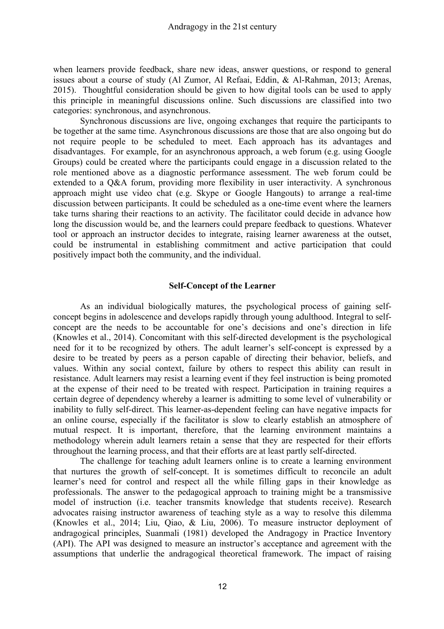when learners provide feedback, share new ideas, answer questions, or respond to general issues about a course of study (Al Zumor, Al Refaai, Eddin, & Al-Rahman, 2013; Arenas, 2015). Thoughtful consideration should be given to how digital tools can be used to apply this principle in meaningful discussions online. Such discussions are classified into two categories: synchronous, and asynchronous.

Synchronous discussions are live, ongoing exchanges that require the participants to be together at the same time. Asynchronous discussions are those that are also ongoing but do not require people to be scheduled to meet. Each approach has its advantages and disadvantages. For example, for an asynchronous approach, a web forum (e.g. using Google Groups) could be created where the participants could engage in a discussion related to the role mentioned above as a diagnostic performance assessment. The web forum could be extended to a Q&A forum, providing more flexibility in user interactivity. A synchronous approach might use video chat (e.g. Skype or Google Hangouts) to arrange a real-time discussion between participants. It could be scheduled as a one-time event where the learners take turns sharing their reactions to an activity. The facilitator could decide in advance how long the discussion would be, and the learners could prepare feedback to questions. Whatever tool or approach an instructor decides to integrate, raising learner awareness at the outset, could be instrumental in establishing commitment and active participation that could positively impact both the community, and the individual.

### **Self-Concept of the Learner**

As an individual biologically matures, the psychological process of gaining selfconcept begins in adolescence and develops rapidly through young adulthood. Integral to selfconcept are the needs to be accountable for one's decisions and one's direction in life (Knowles et al., 2014). Concomitant with this self-directed development is the psychological need for it to be recognized by others. The adult learner's self-concept is expressed by a desire to be treated by peers as a person capable of directing their behavior, beliefs, and values. Within any social context, failure by others to respect this ability can result in resistance. Adult learners may resist a learning event if they feel instruction is being promoted at the expense of their need to be treated with respect. Participation in training requires a certain degree of dependency whereby a learner is admitting to some level of vulnerability or inability to fully self-direct. This learner-as-dependent feeling can have negative impacts for an online course, especially if the facilitator is slow to clearly establish an atmosphere of mutual respect. It is important, therefore, that the learning environment maintains a methodology wherein adult learners retain a sense that they are respected for their efforts throughout the learning process, and that their efforts are at least partly self-directed.

The challenge for teaching adult learners online is to create a learning environment that nurtures the growth of self-concept. It is sometimes difficult to reconcile an adult learner's need for control and respect all the while filling gaps in their knowledge as professionals. The answer to the pedagogical approach to training might be a transmissive model of instruction (i.e. teacher transmits knowledge that students receive). Research advocates raising instructor awareness of teaching style as a way to resolve this dilemma (Knowles et al., 2014; Liu, Qiao, & Liu, 2006). To measure instructor deployment of andragogical principles, Suanmali (1981) developed the Andragogy in Practice Inventory (API). The API was designed to measure an instructor's acceptance and agreement with the assumptions that underlie the andragogical theoretical framework. The impact of raising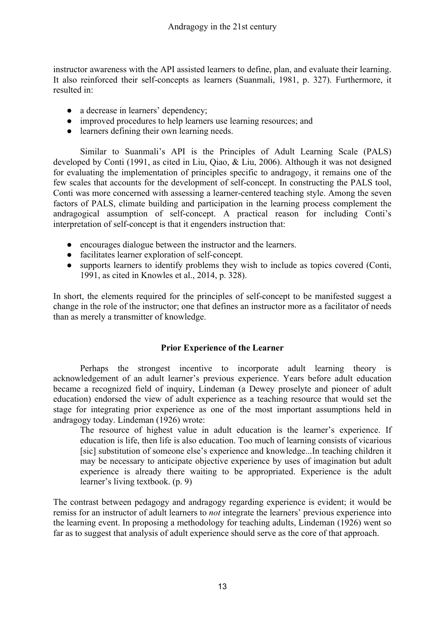instructor awareness with the API assisted learners to define, plan, and evaluate their learning. It also reinforced their self-concepts as learners (Suanmali, 1981, p. 327). Furthermore, it resulted in:

- a decrease in learners' dependency;
- improved procedures to help learners use learning resources; and
- learners defining their own learning needs.

Similar to Suanmali's API is the Principles of Adult Learning Scale (PALS) developed by Conti (1991, as cited in Liu, Qiao, & Liu, 2006). Although it was not designed for evaluating the implementation of principles specific to andragogy, it remains one of the few scales that accounts for the development of self-concept. In constructing the PALS tool, Conti was more concerned with assessing a learner-centered teaching style. Among the seven factors of PALS, climate building and participation in the learning process complement the andragogical assumption of self-concept. A practical reason for including Conti's interpretation of self-concept is that it engenders instruction that:

- encourages dialogue between the instructor and the learners.
- facilitates learner exploration of self-concept.
- supports learners to identify problems they wish to include as topics covered (Conti, 1991, as cited in Knowles et al., 2014, p. 328).

In short, the elements required for the principles of self-concept to be manifested suggest a change in the role of the instructor; one that defines an instructor more as a facilitator of needs than as merely a transmitter of knowledge.

## **Prior Experience of the Learner**

Perhaps the strongest incentive to incorporate adult learning theory is acknowledgement of an adult learner's previous experience. Years before adult education became a recognized field of inquiry, Lindeman (a Dewey proselyte and pioneer of adult education) endorsed the view of adult experience as a teaching resource that would set the stage for integrating prior experience as one of the most important assumptions held in andragogy today. Lindeman (1926) wrote:

The resource of highest value in adult education is the learner's experience. If education is life, then life is also education. Too much of learning consists of vicarious [sic] substitution of someone else's experience and knowledge...In teaching children it may be necessary to anticipate objective experience by uses of imagination but adult experience is already there waiting to be appropriated. Experience is the adult learner's living textbook. (p. 9)

The contrast between pedagogy and andragogy regarding experience is evident; it would be remiss for an instructor of adult learners to *not* integrate the learners' previous experience into the learning event. In proposing a methodology for teaching adults, Lindeman (1926) went so far as to suggest that analysis of adult experience should serve as the core of that approach.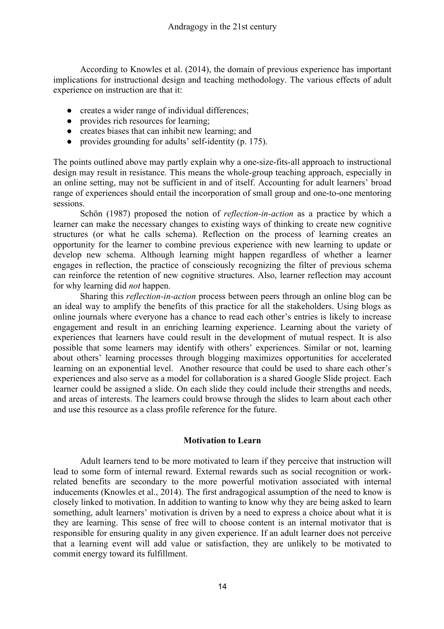According to Knowles et al. (2014), the domain of previous experience has important implications for instructional design and teaching methodology. The various effects of adult experience on instruction are that it:

- creates a wider range of individual differences;
- provides rich resources for learning;
- creates biases that can inhibit new learning; and
- provides grounding for adults' self-identity (p. 175).

The points outlined above may partly explain why a one-size-fits-all approach to instructional design may result in resistance. This means the whole-group teaching approach, especially in an online setting, may not be sufficient in and of itself. Accounting for adult learners' broad range of experiences should entail the incorporation of small group and one-to-one mentoring sessions.

Schön (1987) proposed the notion of *reflection-in-action* as a practice by which a learner can make the necessary changes to existing ways of thinking to create new cognitive structures (or what he calls schema). Reflection on the process of learning creates an opportunity for the learner to combine previous experience with new learning to update or develop new schema. Although learning might happen regardless of whether a learner engages in reflection, the practice of consciously recognizing the filter of previous schema can reinforce the retention of new cognitive structures. Also, learner reflection may account for why learning did *not* happen.

Sharing this *reflection-in-action* process between peers through an online blog can be an ideal way to amplify the benefits of this practice for all the stakeholders. Using blogs as online journals where everyone has a chance to read each other's entries is likely to increase engagement and result in an enriching learning experience. Learning about the variety of experiences that learners have could result in the development of mutual respect. It is also possible that some learners may identify with others' experiences. Similar or not, learning about others' learning processes through blogging maximizes opportunities for accelerated learning on an exponential level. Another resource that could be used to share each other's experiences and also serve as a model for collaboration is a shared Google Slide project. Each learner could be assigned a slide. On each slide they could include their strengths and needs, and areas of interests. The learners could browse through the slides to learn about each other and use this resource as a class profile reference for the future.

## **Motivation to Learn**

Adult learners tend to be more motivated to learn if they perceive that instruction will lead to some form of internal reward. External rewards such as social recognition or workrelated benefits are secondary to the more powerful motivation associated with internal inducements (Knowles et al., 2014). The first andragogical assumption of the need to know is closely linked to motivation. In addition to wanting to know why they are being asked to learn something, adult learners' motivation is driven by a need to express a choice about what it is they are learning. This sense of free will to choose content is an internal motivator that is responsible for ensuring quality in any given experience. If an adult learner does not perceive that a learning event will add value or satisfaction, they are unlikely to be motivated to commit energy toward its fulfillment.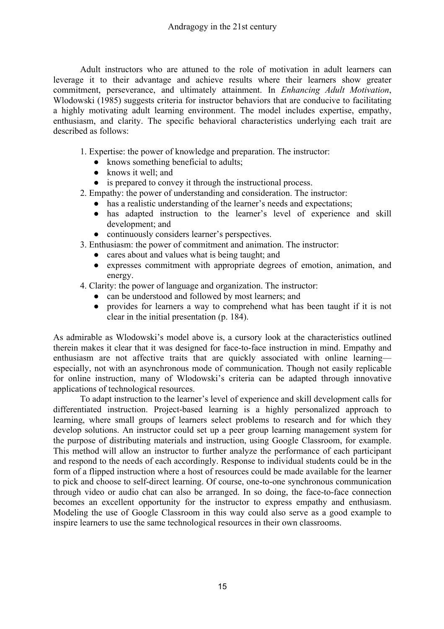Adult instructors who are attuned to the role of motivation in adult learners can leverage it to their advantage and achieve results where their learners show greater commitment, perseverance, and ultimately attainment. In *Enhancing Adult Motivation*, Wlodowski (1985) suggests criteria for instructor behaviors that are conducive to facilitating a highly motivating adult learning environment. The model includes expertise, empathy, enthusiasm, and clarity. The specific behavioral characteristics underlying each trait are described as follows:

1. Expertise: the power of knowledge and preparation. The instructor:

- knows something beneficial to adults;
- knows it well; and

• is prepared to convey it through the instructional process.

2. Empathy: the power of understanding and consideration. The instructor:

- has a realistic understanding of the learner's needs and expectations;
- has adapted instruction to the learner's level of experience and skill development; and

● continuously considers learner's perspectives.

3. Enthusiasm: the power of commitment and animation. The instructor:

- cares about and values what is being taught; and
- expresses commitment with appropriate degrees of emotion, animation, and energy.

4. Clarity: the power of language and organization. The instructor:

- can be understood and followed by most learners; and
- provides for learners a way to comprehend what has been taught if it is not clear in the initial presentation (p. 184).

As admirable as Wlodowski's model above is, a cursory look at the characteristics outlined therein makes it clear that it was designed for face-to-face instruction in mind. Empathy and enthusiasm are not affective traits that are quickly associated with online learning especially, not with an asynchronous mode of communication. Though not easily replicable for online instruction, many of Wlodowski's criteria can be adapted through innovative applications of technological resources.

To adapt instruction to the learner's level of experience and skill development calls for differentiated instruction. Project-based learning is a highly personalized approach to learning, where small groups of learners select problems to research and for which they develop solutions. An instructor could set up a peer group learning management system for the purpose of distributing materials and instruction, using Google Classroom, for example. This method will allow an instructor to further analyze the performance of each participant and respond to the needs of each accordingly. Response to individual students could be in the form of a flipped instruction where a host of resources could be made available for the learner to pick and choose to self-direct learning. Of course, one-to-one synchronous communication through video or audio chat can also be arranged. In so doing, the face-to-face connection becomes an excellent opportunity for the instructor to express empathy and enthusiasm. Modeling the use of Google Classroom in this way could also serve as a good example to inspire learners to use the same technological resources in their own classrooms.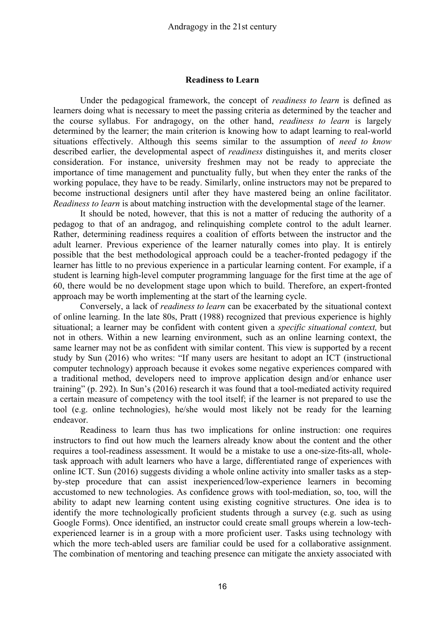### **Readiness to Learn**

Under the pedagogical framework, the concept of *readiness to learn* is defined as learners doing what is necessary to meet the passing criteria as determined by the teacher and the course syllabus. For andragogy, on the other hand, *readiness to learn* is largely determined by the learner; the main criterion is knowing how to adapt learning to real-world situations effectively. Although this seems similar to the assumption of *need to know* described earlier, the developmental aspect of *readiness* distinguishes it, and merits closer consideration. For instance, university freshmen may not be ready to appreciate the importance of time management and punctuality fully, but when they enter the ranks of the working populace, they have to be ready. Similarly, online instructors may not be prepared to become instructional designers until after they have mastered being an online facilitator. *Readiness to learn* is about matching instruction with the developmental stage of the learner.

It should be noted, however, that this is not a matter of reducing the authority of a pedagog to that of an andragog, and relinquishing complete control to the adult learner. Rather, determining readiness requires a coalition of efforts between the instructor and the adult learner. Previous experience of the learner naturally comes into play. It is entirely possible that the best methodological approach could be a teacher-fronted pedagogy if the learner has little to no previous experience in a particular learning content. For example, if a student is learning high-level computer programming language for the first time at the age of 60, there would be no development stage upon which to build. Therefore, an expert-fronted approach may be worth implementing at the start of the learning cycle.

Conversely, a lack of *readiness to learn* can be exacerbated by the situational context of online learning. In the late 80s, Pratt (1988) recognized that previous experience is highly situational; a learner may be confident with content given a *specific situational context,* but not in others. Within a new learning environment, such as an online learning context, the same learner may not be as confident with similar content. This view is supported by a recent study by Sun (2016) who writes: "If many users are hesitant to adopt an ICT (instructional computer technology) approach because it evokes some negative experiences compared with a traditional method, developers need to improve application design and/or enhance user training" (p. 292). In Sun's (2016) research it was found that a tool-mediated activity required a certain measure of competency with the tool itself; if the learner is not prepared to use the tool (e.g. online technologies), he/she would most likely not be ready for the learning endeavor.

Readiness to learn thus has two implications for online instruction: one requires instructors to find out how much the learners already know about the content and the other requires a tool-readiness assessment. It would be a mistake to use a one-size-fits-all, wholetask approach with adult learners who have a large, differentiated range of experiences with online ICT. Sun (2016) suggests dividing a whole online activity into smaller tasks as a stepby-step procedure that can assist inexperienced/low-experience learners in becoming accustomed to new technologies. As confidence grows with tool-mediation, so, too, will the ability to adapt new learning content using existing cognitive structures. One idea is to identify the more technologically proficient students through a survey (e.g. such as using Google Forms). Once identified, an instructor could create small groups wherein a low-techexperienced learner is in a group with a more proficient user. Tasks using technology with which the more tech-abled users are familiar could be used for a collaborative assignment. The combination of mentoring and teaching presence can mitigate the anxiety associated with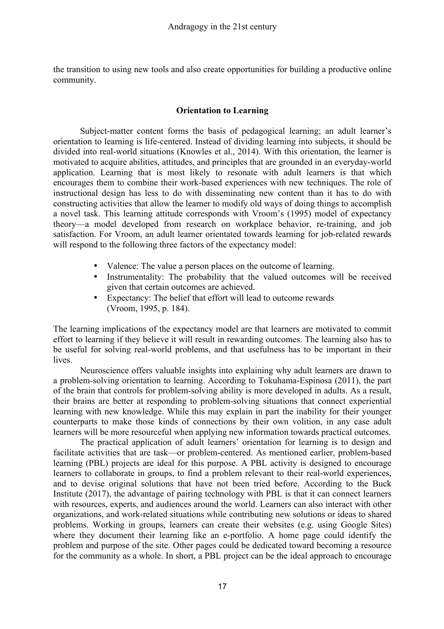the transition to using new tools and also create opportunities for building a productive online community.

# **Orientation to Learning**

Subject-matter content forms the basis of pedagogical learning; an adult learner's orientation to learning is life-centered. Instead of dividing learning into subjects, it should be divided into real-world situations (Knowles et al., 2014). With this orientation, the learner is motivated to acquire abilities, attitudes, and principles that are grounded in an everyday-world application. Learning that is most likely to resonate with adult learners is that which encourages them to combine their work-based experiences with new techniques. The role of instructional design has less to do with disseminating new content than it has to do with constructing activities that allow the learner to modify old ways of doing things to accomplish a novel task. This learning attitude corresponds with Vroom's (1995) model of expectancy theory—a model developed from research on workplace behavior, re-training, and job satisfaction. For Vroom, an adult learner orientated towards learning for job-related rewards will respond to the following three factors of the expectancy model:

- Valence: The value a person places on the outcome of learning.
- Instrumentality: The probability that the valued outcomes will be received given that certain outcomes are achieved.
- Expectancy: The belief that effort will lead to outcome rewards (Vroom, 1995, p. 184).

The learning implications of the expectancy model are that learners are motivated to commit effort to learning if they believe it will result in rewarding outcomes. The learning also has to be useful for solving real-world problems, and that usefulness has to be important in their lives.

Neuroscience offers valuable insights into explaining why adult learners are drawn to a problem-solving orientation to learning. According to Tokuhama-Espinosa (2011), the part of the brain that controls for problem-solving ability is more developed in adults. As a result, their brains are better at responding to problem-solving situations that connect experiential learning with new knowledge. While this may explain in part the inability for their younger counterparts to make those kinds of connections by their own volition, in any case adult learners will be more resourceful when applying new information towards practical outcomes.

The practical application of adult learners' orientation for learning is to design and facilitate activities that are task—or problem-centered. As mentioned earlier, problem-based learning (PBL) projects are ideal for this purpose. A PBL activity is designed to encourage learners to collaborate in groups, to find a problem relevant to their real-world experiences, and to devise original solutions that have not been tried before. According to the Buck Institute (2017), the advantage of pairing technology with PBL is that it can connect learners with resources, experts, and audiences around the world. Learners can also interact with other organizations, and work-related situations while contributing new solutions or ideas to shared problems. Working in groups, learners can create their websites (e.g. using Google Sites) where they document their learning like an e-portfolio. A home page could identify the problem and purpose of the site. Other pages could be dedicated toward becoming a resource for the community as a whole. In short, a PBL project can be the ideal approach to encourage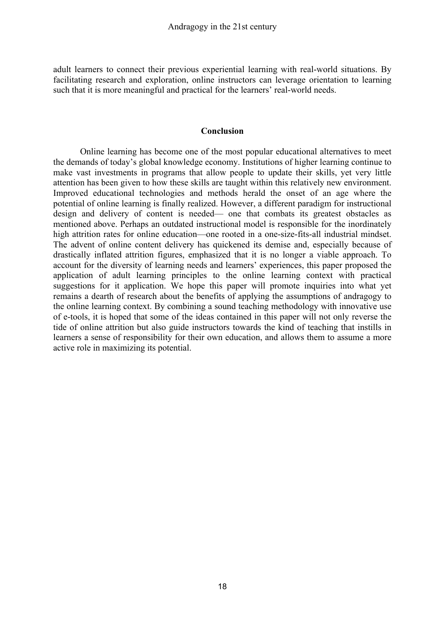adult learners to connect their previous experiential learning with real-world situations. By facilitating research and exploration, online instructors can leverage orientation to learning such that it is more meaningful and practical for the learners' real-world needs.

#### **Conclusion**

Online learning has become one of the most popular educational alternatives to meet the demands of today's global knowledge economy. Institutions of higher learning continue to make vast investments in programs that allow people to update their skills, yet very little attention has been given to how these skills are taught within this relatively new environment. Improved educational technologies and methods herald the onset of an age where the potential of online learning is finally realized. However, a different paradigm for instructional design and delivery of content is needed— one that combats its greatest obstacles as mentioned above. Perhaps an outdated instructional model is responsible for the inordinately high attrition rates for online education—one rooted in a one-size-fits-all industrial mindset. The advent of online content delivery has quickened its demise and, especially because of drastically inflated attrition figures, emphasized that it is no longer a viable approach. To account for the diversity of learning needs and learners' experiences, this paper proposed the application of adult learning principles to the online learning context with practical suggestions for it application. We hope this paper will promote inquiries into what yet remains a dearth of research about the benefits of applying the assumptions of andragogy to the online learning context. By combining a sound teaching methodology with innovative use of e-tools, it is hoped that some of the ideas contained in this paper will not only reverse the tide of online attrition but also guide instructors towards the kind of teaching that instills in learners a sense of responsibility for their own education, and allows them to assume a more active role in maximizing its potential.